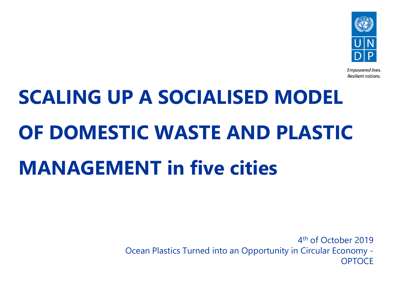

Empowered lives. Resilient nations.

# **SCALING UP A SOCIALISED MODEL OF DOMESTIC WASTE AND PLASTIC MANAGEMENT in five cities**

4th of October 2019 Ocean Plastics Turned into an Opportunity in Circular Economy - **OPTOCE**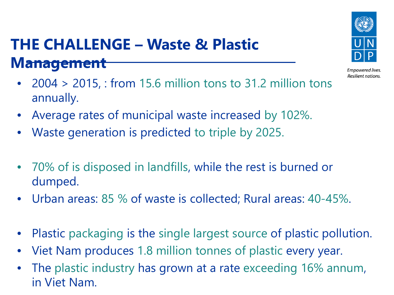# **THE CHALLENGE – Waste & Plastic Management**



Empowered lives. Resilient nations.

- 2004 > 2015, : from 15.6 million tons to 31.2 million tons annually.
- Average rates of municipal waste increased by 102%.
- Waste generation is predicted to triple by 2025.
- 70% of is disposed in landfills, while the rest is burned or dumped.
- Urban areas: 85 % of waste is collected; Rural areas: 40-45%.
- Plastic packaging is the single largest source of plastic pollution.
- Viet Nam produces 1.8 million tonnes of plastic every year.
- The plastic industry has grown at a rate exceeding 16% annum, in Viet Nam.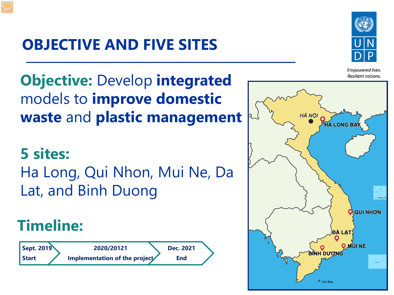# **OBJECTIVE AND FIVE SITES**



**Empowered lives.** Resilient nations.

**Objective:** Develop **integrated** models to **improve domestic waste** and **plastic management** 

## **5 sites:**

Ha Long, Qui Nhon, Mui Ne, Da Lat, and Binh Duong

# **Timeline:**



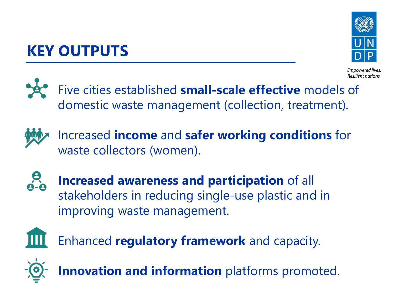# **KEY OUTPUTS**



Resilient nations.

Five cities established **small-scale effective** models of domestic waste management (collection, treatment).



Increased **income** and **safer working conditions** for waste collectors (women).



**Increased awareness and participation** of all stakeholders in reducing single-use plastic and in improving waste management.



Enhanced **regulatory framework** and capacity.



**Innovation and information** platforms promoted.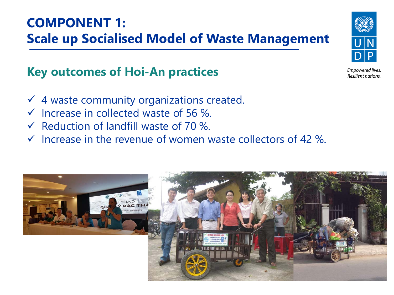#### **COMPONENT 1: Scale up Socialised Model of Waste Management**

#### **Key outcomes of Hoi-An practices**

- $\checkmark$  4 waste community organizations created.
- $\checkmark$  Increase in collected waste of 56 %.
- $\checkmark$  Reduction of landfill waste of 70 %.
- $\checkmark$  Increase in the revenue of women waste collectors of 42 %.





Empowered lives. Resilient nations.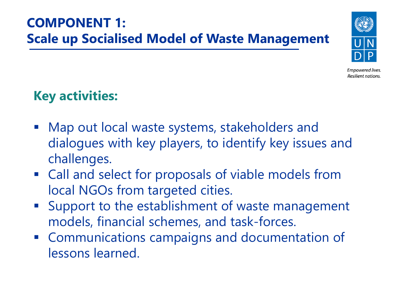#### **COMPONENT 1: Scale up Socialised Model of Waste Management**



Empowered lives. Resilient nations.

#### **Key activities:**

- Map out local waste systems, stakeholders and dialogues with key players, to identify key issues and challenges.
- Call and select for proposals of viable models from local NGOs from targeted cities.
- **Support to the establishment of waste management** models, financial schemes, and task-forces.
- **EX Communications campaigns and documentation of** lessons learned.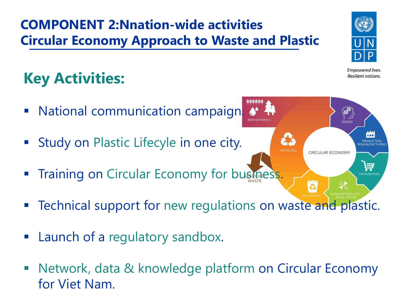#### **COMPONENT 2:Nnation-wide activities Circular Economy Approach to Waste and Plastic**

# **Key Activities:**

- **National communication campaign**
- **Study on Plastic Lifecyle in one city.**
- **Training on Circular Economy for business.**
- **EXA** Technical support for new regulations on waste and plastic.
- **E** Launch of a regulatory sandbox.
- Network, data & knowledge platform on Circular Economy for Viet Nam.



Empowered lives. Resilient nations.

**DESIGN** 

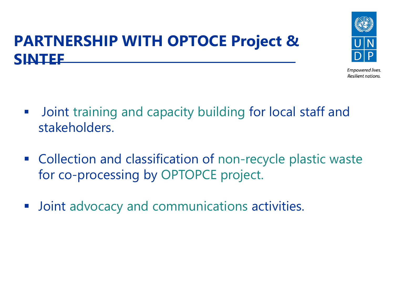

**Empowered lives.** Resilient nations.

### **PARTNERSHIP WITH OPTOCE Project & SINTEF**

- **Joint training and capacity building for local staff and** stakeholders.
- Collection and classification of non-recycle plastic waste for co-processing by OPTOPCE project.
- **Joint advocacy and communications activities.**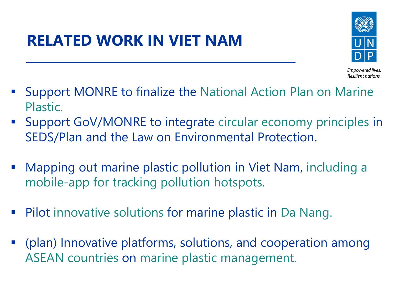## **RELATED WORK IN VIET NAM**



Empowered lives. Resilient nations.

- Support MONRE to finalize the National Action Plan on Marine Plastic.
- Support GoV/MONRE to integrate circular economy principles in SEDS/Plan and the Law on Environmental Protection.
- **Mapping out marine plastic pollution in Viet Nam, including a** mobile-app for tracking pollution hotspots.
- **Pilot innovative solutions for marine plastic in Da Nang.**
- (plan) Innovative platforms, solutions, and cooperation among ASEAN countries on marine plastic management.